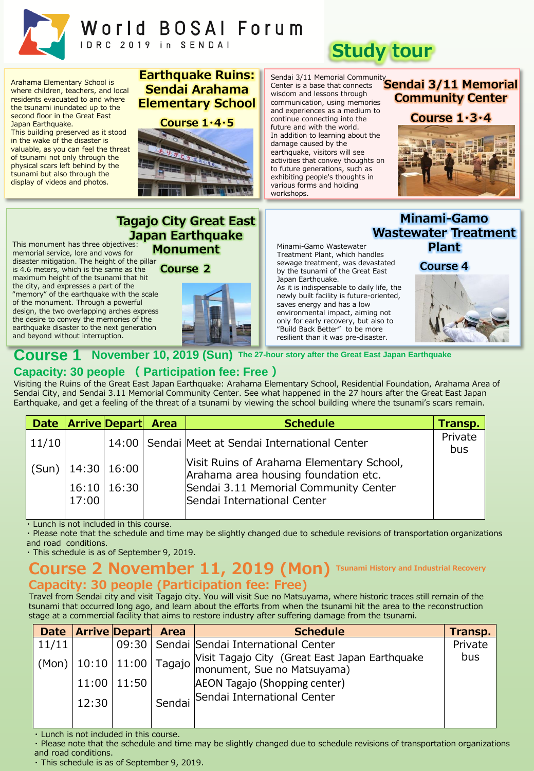

# World BOSAI Forum IDRC 2019 in SENDAI

Arahama Elementary School is where children, teachers, and local residents evacuated to and where the tsunami inundated up to the second floor in the Great East Japan Earthquake.

This building preserved as it stood in the wake of the disaster is valuable, as you can feel the threat of tsunami not only through the physical scars left behind by the tsunami but also through the display of videos and photos.

#### **Earthquake Ruins: Sendai Arahama Elementary School**



Sendai 3/11 Memorial Community wisdom and lessons through communication, using memories and experiences as a medium to continue connecting into the future and with the world. In addition to learning about the damage caused by the earthquake, visitors will see activities that convey thoughts on to future generations, such as exhibiting people's thoughts in various forms and holding workshops.

# **Study tour**

Center is a base that connects **Sendai 3/11 Memorial Community Center**



**Tagajo City Great East Japan Earthquake Monument**

This monument has three objectives: memorial service, lore and vows for disaster mitigation. The height of the pillar

is 4.6 meters, which is the same as the maximum height of the tsunami that hit the city, and expresses a part of the "memory" of the earthquake with the scale of the monument. Through a powerful design, the two overlapping arches express the desire to convey the memories of the earthquake disaster to the next generation and beyond without interruption.

**Course 2**



Minami-Gamo Wastewater Treatment Plant, which handles sewage treatment, was devastated by the tsunami of the Great East Japan Earthquake.

As it is indispensable to daily life, the newly built facility is future-oriented, saves energy and has a low environmental impact, aiming not only for early recovery, but also to "Build Back Better" to be more resilient than it was pre-disaster.

**Minami-Gamo Wastewater Treatment Plant**

**Course 4**



# **Course 1 November 10, 2019 (Sun) The 27-hour story after the Great East Japan Earthquake**

# **Capacity: 30 people ( Participation fee: Free )**

Visiting the Ruins of the Great East Japan Earthquake: Arahama Elementary School, Residential Foundation, Arahama Area of Sendai City, and Sendai 3.11 Memorial Community Center. See what happened in the 27 hours after the Great East Japan Earthquake, and get a feeling of the threat of a tsunami by viewing the school building where the tsunami's scars remain.

|       |       | Date Arrive Depart Area | <b>Schedule</b>                                                                   | Transp.        |
|-------|-------|-------------------------|-----------------------------------------------------------------------------------|----------------|
| 11/10 |       |                         | 14:00   Sendai   Meet at Sendai International Center                              | Private<br>bus |
| (Sun) |       | 14:30 16:00             | Visit Ruins of Arahama Elementary School,<br>Arahama area housing foundation etc. |                |
|       | 17:00 | 16:10   16:30           | Sendai 3.11 Memorial Community Center<br>Sendai International Center              |                |

・ Lunch is not included in this course.

・ Please note that the schedule and time may be slightly changed due to schedule revisions of transportation organizations and road conditions.

・ This schedule is as of September 9, 2019.

## **Course 2 November 11, 2019 (Mon) Tsunami History and Industrial Recovery Capacity: 30 people (Participation fee: Free)**

Travel from Sendai city and visit Tagajo city. You will visit Sue no Matsuyama, where historic traces still remain of the tsunami that occurred long ago, and learn about the efforts from when the tsunami hit the area to the reconstruction stage at a commercial facility that aims to restore industry after suffering damage from the tsunami.

|       |       | Date Arrive Depart | Area   | <b>Schedule</b>                                                                                                                             | Transp. |
|-------|-------|--------------------|--------|---------------------------------------------------------------------------------------------------------------------------------------------|---------|
| 11/11 |       |                    |        | 09:30   Sendai   Sendai International Center                                                                                                | Private |
| (Mon) |       |                    |        | $\begin{array}{c c} \mid 10:10 & \mid 11:00 & \mid \text{Tagajo} \mid \end{array}$ (Great East Japan Earthquake monument, Sue no Matsuyama) | bus     |
|       | 11:00 | 11:50              |        | AEON Tagajo (Shopping center)                                                                                                               |         |
|       | 12:30 |                    | Sendai | Sendai International Center                                                                                                                 |         |

・ Lunch is not included in this course.

・ Please note that the schedule and time may be slightly changed due to schedule revisions of transportation organizations and road conditions.

・ This schedule is as of September 9, 2019.